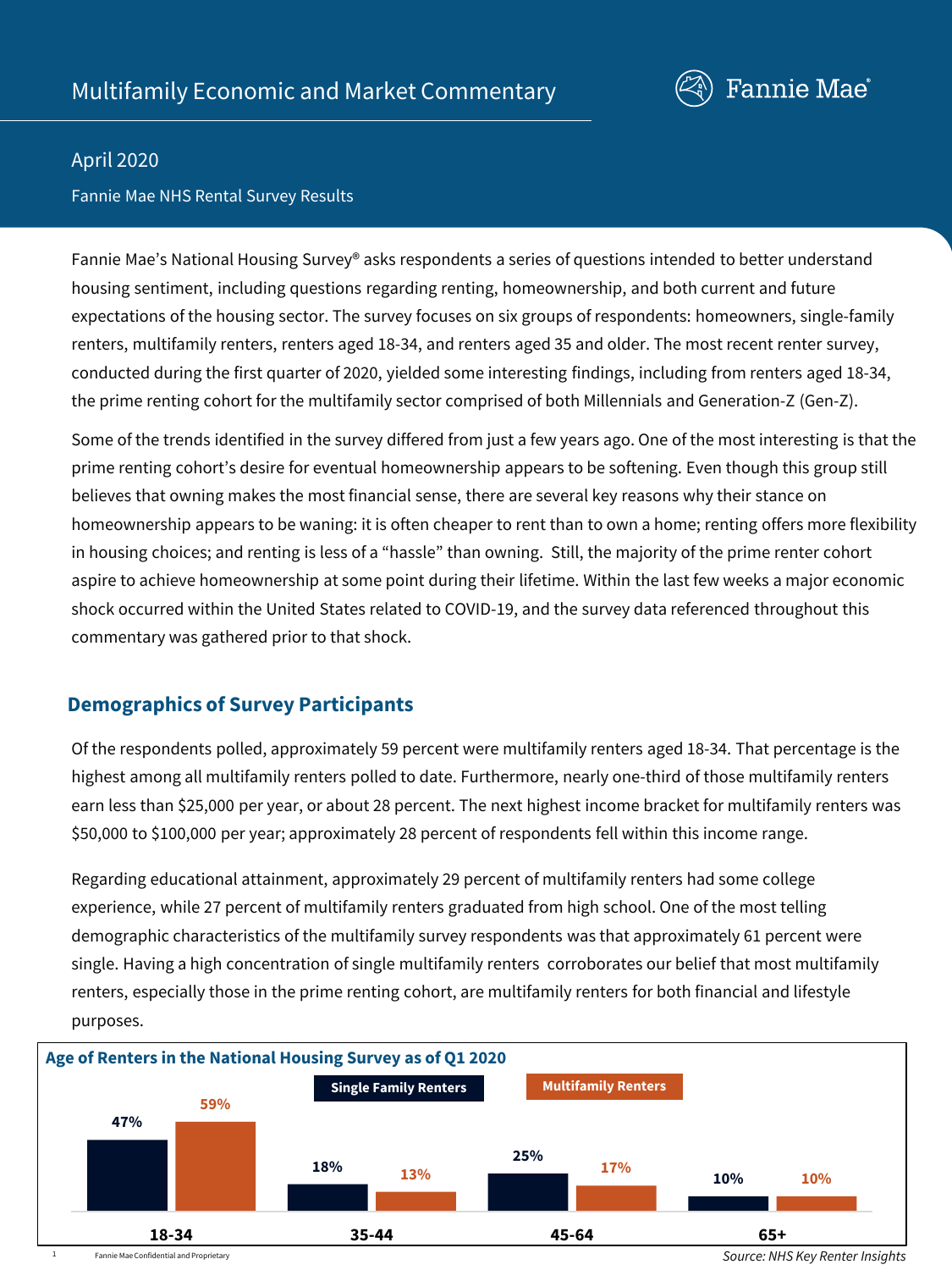

### April 2020

### Fannie Mae NHS Rental Survey Results

Fannie Mae's National Housing Survey® asks respondents a series of questions intended to better understand housing sentiment, including questions regarding renting, homeownership, and both current and future expectations of the housing sector. The survey focuses on six groups of respondents: homeowners, single-family renters, multifamily renters, renters aged 18-34, and renters aged 35 and older. The most recent renter survey, conducted during the first quarter of 2020, yielded some interesting findings, including from renters aged 18-34, the prime renting cohort for the multifamily sector comprised of both Millennials and Generation-Z (Gen-Z).

Some of the trends identified in the survey differed from just a few years ago. One of the most interesting is that the prime renting cohort's desire for eventual homeownership appears to be softening. Even though this group still believes that owning makes the most financial sense, there are several key reasons why their stance on homeownership appears to be waning: it is often cheaper to rent than to own a home; renting offers more flexibility in housing choices; and renting is less of a "hassle" than owning. Still, the majority of the prime renter cohort aspire to achieve homeownership at some point during their lifetime. Within the last few weeks a major economic shock occurred within the United States related to COVID-19, and the survey data referenced throughout this commentary was gathered prior to that shock.

# **Demographics of Survey Participants**

Of the respondents polled, approximately 59 percent were multifamily renters aged 18-34. That percentage is the highest among all multifamily renters polled to date. Furthermore, nearly one-third of those multifamily renters earn less than \$25,000 per year, or about 28 percent. The next highest income bracket for multifamily renters was \$50,000 to \$100,000 per year; approximately 28 percent of respondents fell within this income range.

Regarding educational attainment, approximately 29 percent of multifamily renters had some college experience, while 27 percent of multifamily renters graduated from high school. One of the most telling demographic characteristics of the multifamily survey respondents was that approximately 61 percent were single. Having a high concentration of single multifamily renters corroborates our belief that most multifamily renters, especially those in the prime renting cohort, are multifamily renters for both financial and lifestyle purposes.

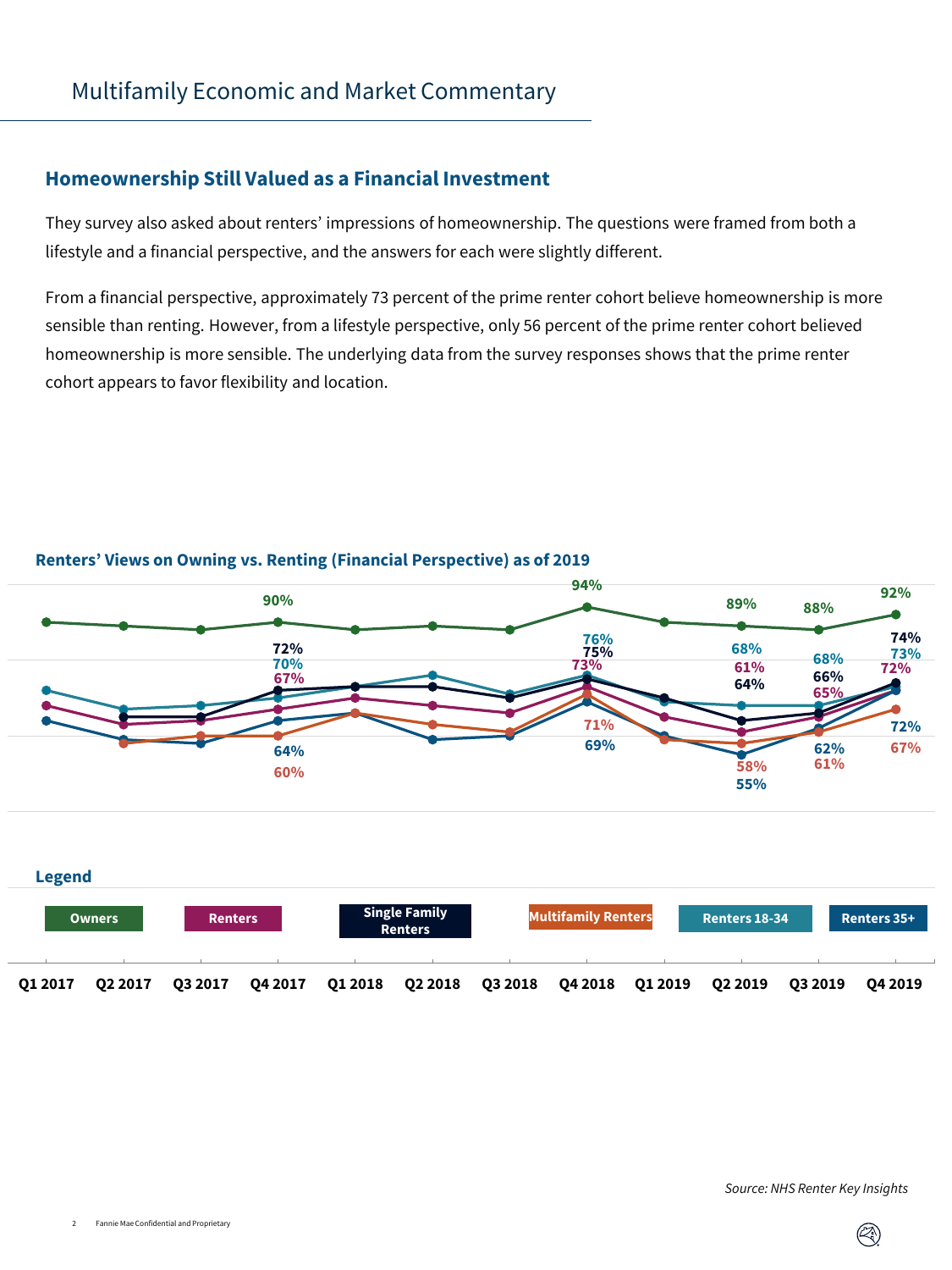### **Homeownership Still Valued as a Financial Investment**

They survey also asked about renters' impressions of homeownership. The questions were framed from both a lifestyle and a financial perspective, and the answers for each were slightly different.

From a financial perspective, approximately 73 percent of the prime renter cohort believe homeownership is more sensible than renting. However, from a lifestyle perspective, only 56 percent of the prime renter cohort believed homeownership is more sensible. The underlying data from the survey responses shows that the prime renter cohort appears to favor flexibility and location.



**94%**

### **Renters' Views on Owning vs. Renting (Financial Perspective) as of 2019**



#### *Source: NHS Renter Key Insights*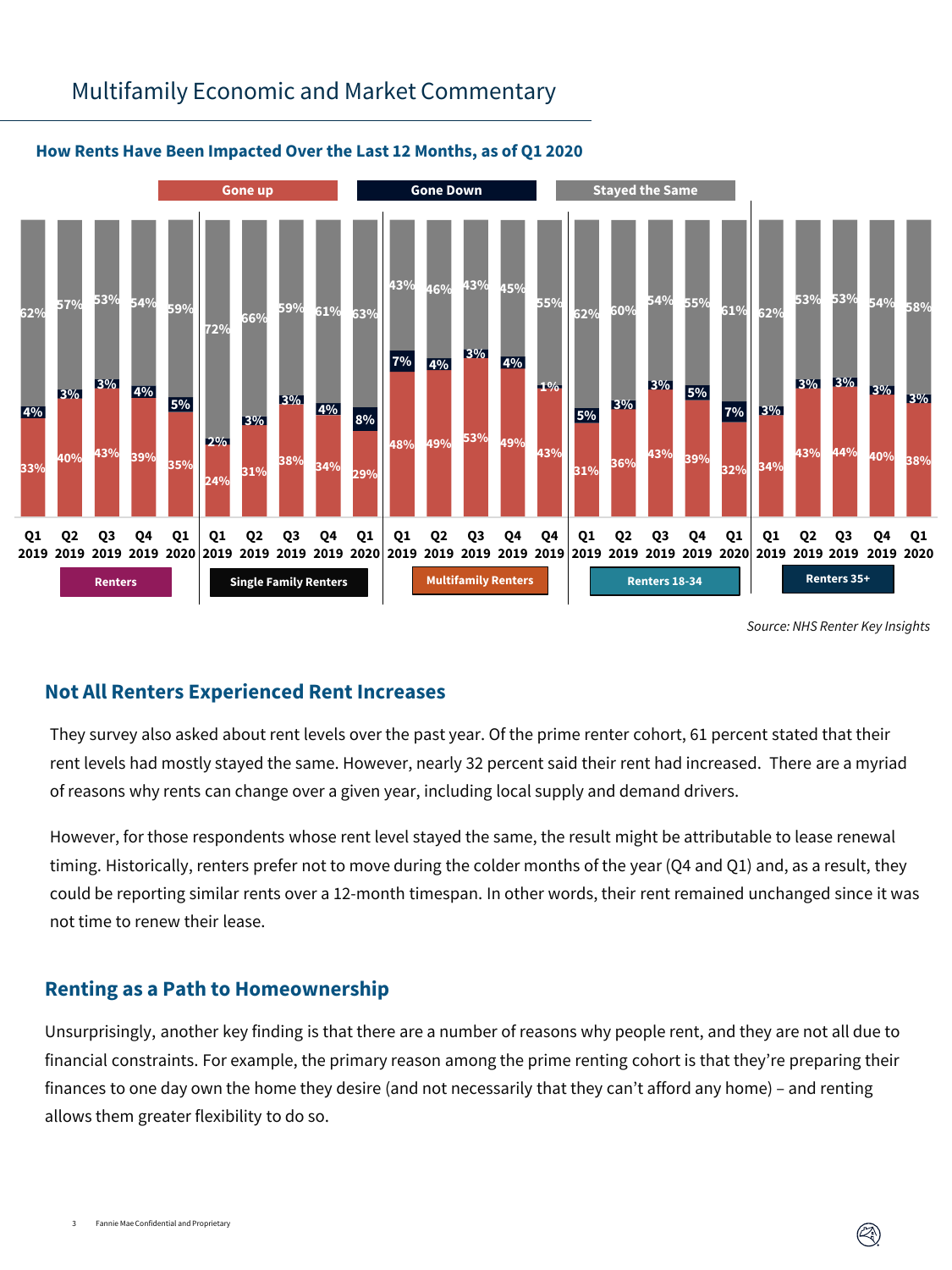# Multifamily Economic and Market Commentary



### **How Rents Have Been Impacted Over the Last 12 Months, as of Q1 2020**

*Source: NHS Renter Key Insights*

# **Not All Renters Experienced Rent Increases**

They survey also asked about rent levels over the past year. Of the prime renter cohort, 61 percent stated that their rent levels had mostly stayed the same. However, nearly 32 percent said their rent had increased. There are a myriad of reasons why rents can change over a given year, including local supply and demand drivers.

However, for those respondents whose rent level stayed the same, the result might be attributable to lease renewal timing. Historically, renters prefer not to move during the colder months of the year (Q4 and Q1) and, as a result, they could be reporting similar rents over a 12-month timespan. In other words, their rent remained unchanged since it was not time to renew their lease.

# **Renting as a Path to Homeownership**

Unsurprisingly, another key finding is that there are a number of reasons why people rent, and they are not all due to financial constraints. For example, the primary reason among the prime renting cohort is that they're preparing their finances to one day own the home they desire (and not necessarily that they can't afford any home) – and renting allows them greater flexibility to do so.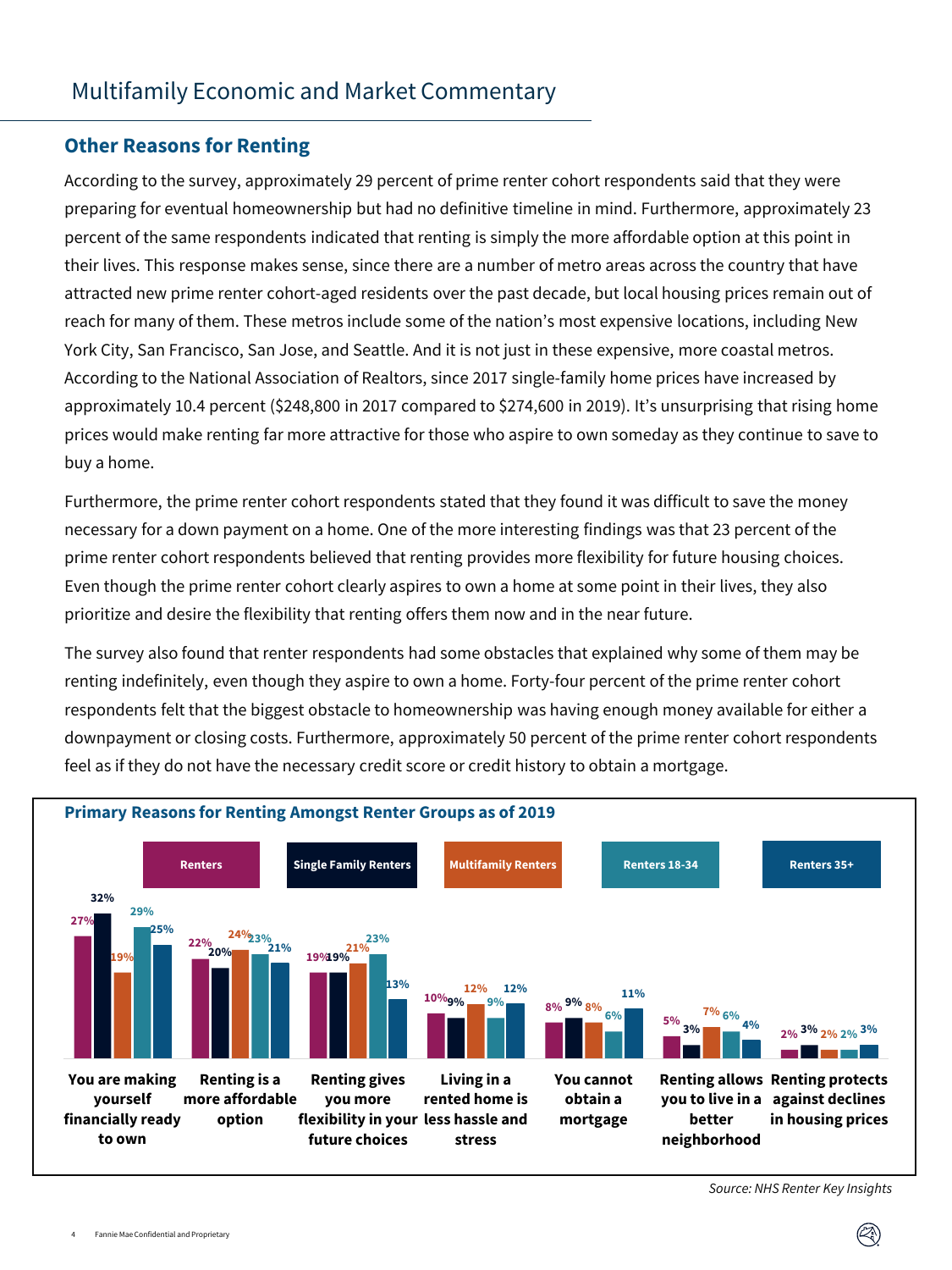# Multifamily Economic and Market Commentary

### **Other Reasons for Renting**

According to the survey, approximately 29 percent of prime renter cohort respondents said that they were preparing for eventual homeownership but had no definitive timeline in mind. Furthermore, approximately 23 percent of the same respondents indicated that renting is simply the more affordable option at this point in their lives. This response makes sense, since there are a number of metro areas across the country that have attracted new prime renter cohort-aged residents over the past decade, but local housing prices remain out of reach for many of them. These metros include some of the nation's most expensive locations, including New York City, San Francisco, San Jose, and Seattle. And it is not just in these expensive, more coastal metros. According to the National Association of Realtors, since 2017 single-family home prices have increased by approximately 10.4 percent (\$248,800 in 2017 compared to \$274,600 in 2019). It's unsurprising that rising home prices would make renting far more attractive for those who aspire to own someday as they continue to save to buy a home.

Furthermore, the prime renter cohort respondents stated that they found it was difficult to save the money necessary for a down payment on a home. One of the more interesting findings was that 23 percent of the prime renter cohort respondents believed that renting provides more flexibility for future housing choices. Even though the prime renter cohort clearly aspires to own a home at some point in their lives, they also prioritize and desire the flexibility that renting offers them now and in the near future.

The survey also found that renter respondents had some obstacles that explained why some of them may be renting indefinitely, even though they aspire to own a home. Forty-four percent of the prime renter cohort respondents felt that the biggest obstacle to homeownership was having enough money available for either a downpayment or closing costs. Furthermore, approximately 50 percent of the prime renter cohort respondents feel as if they do not have the necessary credit score or credit history to obtain a mortgage.



*Source: NHS Renter Key Insights*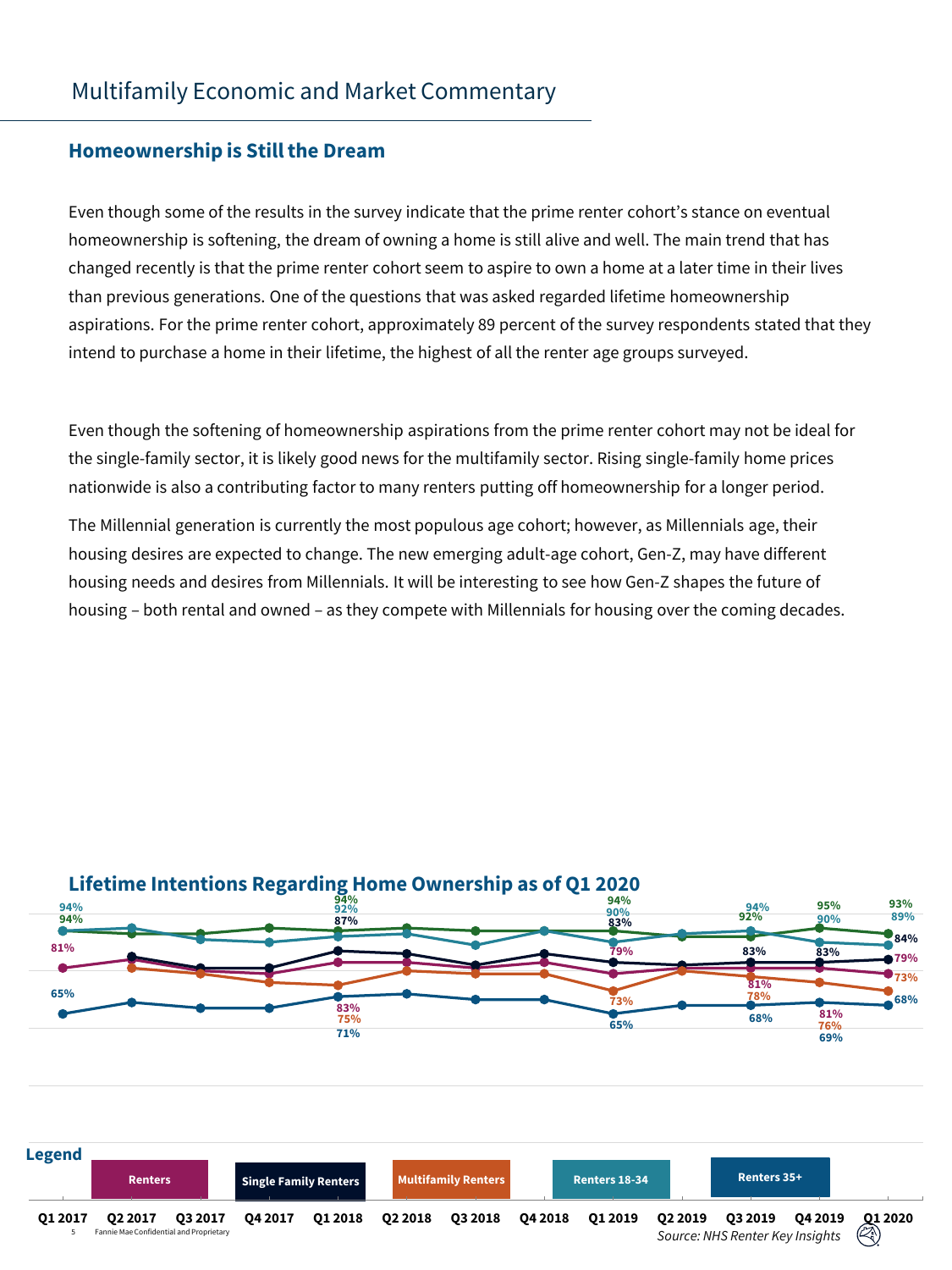### **Homeownership is Still the Dream**

Even though some of the results in the survey indicate that the prime renter cohort's stance on eventual homeownership is softening, the dream of owning a home is still alive and well. The main trend that has changed recently is that the prime renter cohort seem to aspire to own a home at a later time in their lives than previous generations. One of the questions that was asked regarded lifetime homeownership aspirations. For the prime renter cohort, approximately 89 percent of the survey respondents stated that they intend to purchase a home in their lifetime, the highest of all the renter age groups surveyed.

Even though the softening of homeownership aspirations from the prime renter cohort may not be ideal for the single-family sector, it is likely good news for the multifamily sector. Rising single-family home prices nationwide is also a contributing factor to many renters putting off homeownership for a longer period.

The Millennial generation is currently the most populous age cohort; however, as Millennials age, their housing desires are expected to change. The new emerging adult-age cohort, Gen-Z, may have different housing needs and desires from Millennials. It will be interesting to see how Gen-Z shapes the future of housing – both rental and owned – as they compete with Millennials for housing over the coming decades.